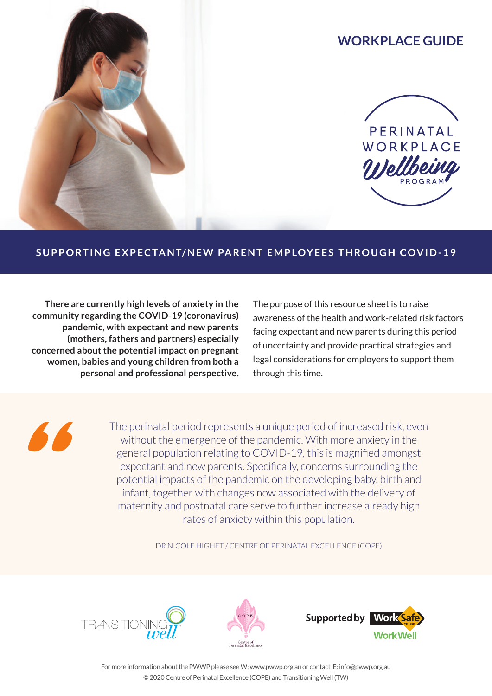# **WORKPLACE GUIDE**



### SUPPORTING EXPECTANT/NEW PARENT EMPLOYEES THROUGH COVID-19

**There are currently high levels of anxiety in the community regarding the COVID-19 (coronavirus) pandemic, with expectant and new parents (mothers, fathers and partners) especially concerned about the potential impact on pregnant women, babies and young children from both a personal and professional perspective.** The purpose of this resource sheet is to raise awareness of the health and work-related risk factors facing expectant and new parents during this period of uncertainty and provide practical strategies and legal considerations for employers to support them through this time.

The perinatal period represents a unique period of increased risk, even without the emergence of the pandemic. With more anxiety in the general population relating to COVID-19, this is magnified amongst expectant and new parents. Specifically, concerns surrounding the potential impacts of the pandemic on the developing baby, birth and infant, together with changes now associated with the delivery of maternity and postnatal care serve to further increase already high rates of anxiety within this population.

DR NICOLE HIGHET / CENTRE OF PERINATAL EXCELLENCE (COPE)







For more information about the PWWP please see W: www.pwwp.org.au or contact E: info@pwwp.org.au © 2020 Centre of Perinatal Excellence (COPE) and Transitioning Well (TW)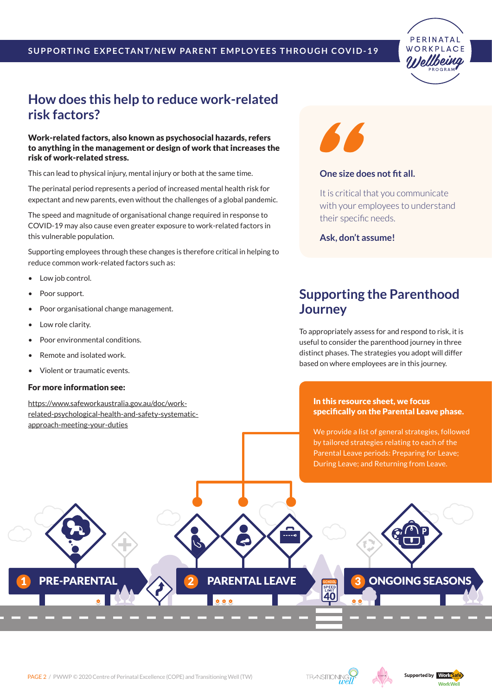

### **How does this help to reduce work-related risk factors?**

Work-related factors, also known as psychosocial hazards, refers to anything in the management or design of work that increases the risk of work-related stress.

This can lead to physical injury, mental injury or both at the same time.

The perinatal period represents a period of increased mental health risk for expectant and new parents, even without the challenges of a global pandemic.

The speed and magnitude of organisational change required in response to COVID-19 may also cause even greater exposure to work-related factors in this vulnerable population.

Supporting employees through these changes is therefore critical in helping to reduce common work-related factors such as:

- Low job control.
- Poor support.
- Poor organisational change management.
- Low role clarity.
- Poor environmental conditions.
- Remote and isolated work.
- Violent or traumatic events.

#### For more information see:

[https://www.safeworkaustralia.gov.au/doc/work](https://www.safeworkaustralia.gov.au/doc/work-related-psychological-health-and-safety-systematic-approach-meeting-your-duties)[related-psychological-health-and-safety-systematic](https://www.safeworkaustralia.gov.au/doc/work-related-psychological-health-and-safety-systematic-approach-meeting-your-duties)[approach-meeting-your-duties](https://www.safeworkaustralia.gov.au/doc/work-related-psychological-health-and-safety-systematic-approach-meeting-your-duties)



#### **One size does not fit all.**

It is critical that you communicate with your employees to understand their specific needs.

**Ask, don't assume!**

### **Supporting the Parenthood Journey**

To appropriately assess for and respond to risk, it is useful to consider the parenthood journey in three distinct phases. The strategies you adopt will differ based on where employees are in this journey.

#### In this resource sheet, we focus specifically on the Parental Leave phase.

We provide a list of general strategies, followed by tailored strategies relating to each of the Parental Leave periods: Preparing for Leave; During Leave; and Returning from Leave.

**SPEEP** 

PRE-PARENTAL 2 PARENTAL LEAVE 3 ONGOING SEASONS

 $0.0.0$ 



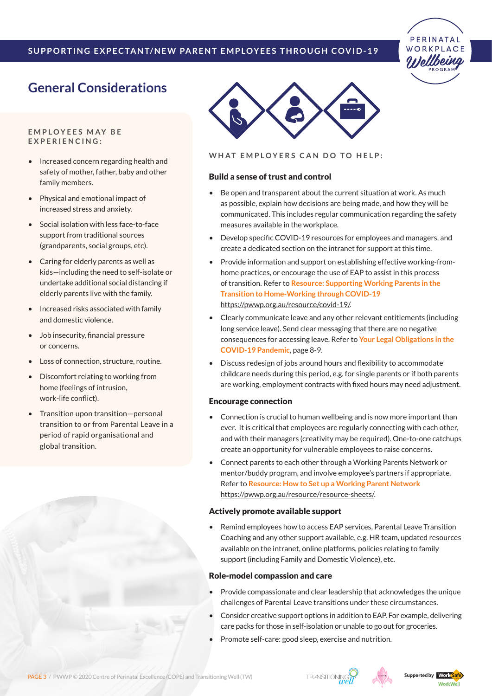

## **General Considerations**

**E m p l o y ees m a y b e e x p e r i e n c i n g :**

- Increased concern regarding health and safety of mother, father, baby and other family members.
- Physical and emotional impact of increased stress and anxiety.
- Social isolation with less face-to-face support from traditional sources (grandparents, social groups, etc).
- **Caring for elderly parents as well as** kids—including the need to self-isolate or undertake additional social distancing if elderly parents live with the family.
- Increased risks associated with family and domestic violence.
- **Job insecurity, financial pressure** or concerns.
- Loss of connection, structure, routine.
- **Discomfort relating to working from** home (feelings of intrusion, work-life conflict).
- Transition upon transition-personal transition to or from Parental Leave in a period of rapid organisational and global transition.



**WHAT EMPLOYERS CAN DO TO HELP:** 

#### Build a sense of trust and control

- Be open and transparent about the current situation at work. As much as possible, explain how decisions are being made, and how they will be communicated. This includes regular communication regarding the safety measures available in the workplace.
- Develop specific COVID-19 resources for employees and managers, and create a dedicated section on the intranet for support at this time.
- Provide information and support on establishing effective working-fromhome practices, or encourage the use of EAP to assist in this process of transition. Refer to **Resource: Supporting Working Parents in the Transition to Home-Working through COVID-19** [https://pwwp.org.au/resource/covid-19/.](https://pwwp.org.au/resource/covid-19/)
- Clearly communicate leave and any other relevant entitlements (including long service leave). Send clear messaging that there are no negative consequences for accessing leave. Refer to **Your Legal Obligations in the COVID-19 Pandemic**, page 8-9.
- Discuss redesign of jobs around hours and flexibility to accommodate childcare needs during this period, e.g. for single parents or if both parents are working, employment contracts with fixed hours may need adjustment.

#### Encourage connection

- Connection is crucial to human wellbeing and is now more important than ever. It is critical that employees are regularly connecting with each other, and with their managers (creativity may be required). One-to-one catchups create an opportunity for vulnerable employees to raise concerns.
- Connect parents to each other through a Working Parents Network or mentor/buddy program, and involve employee's partners if appropriate. Refer to **Resource: How to Set up a Working Parent Network** [https://pwwp.org.au/resource/resource-sheets/.](https://pwwp.org.au/resource/resource-sheets/)

#### Actively promote available support

Remind employees how to access EAP services, Parental Leave Transition Coaching and any other support available, e.g. HR team, updated resources available on the intranet, online platforms, policies relating to family support (including Family and Domestic Violence), etc.

#### Role-model compassion and care

- Provide compassionate and clear leadership that acknowledges the unique challenges of Parental Leave transitions under these circumstances.
- Consider creative support options in addition to EAP. For example, delivering care packs for those in self-isolation or unable to go out for groceries.
- Promote self-care: good sleep, exercise and nutrition.



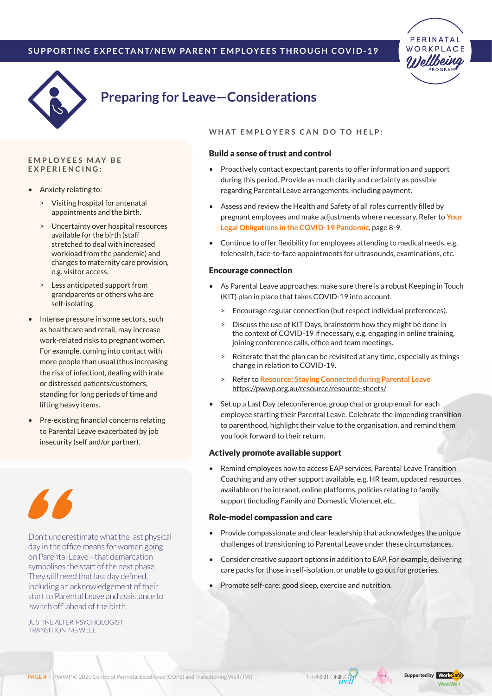



# **Preparing for Leave—Considerations**

#### **E m p l o y ees m a y b e**  $EXPERIENCING:$

- Anxiety relating to:
	- > Visiting hospital for antenatal appointments and the birth.
	- > Uncertainty over hospital resources available for the birth (staff stretched to deal with increased workload from the pandemic) and changes to maternity care provision, e.g. visitor access.
	- Less anticipated support from grandparents or others who are self-isolating.
- Intense pressure in some sectors, such as healthcare and retail, may increase work-related risks to pregnant women. For example, coming into contact with more people than usual (thus increasing the risk of infection), dealing with irate or distressed patients/customers, standing for long periods of time and lifting heavy items.
- Pre-existing financial concerns relating to Parental Leave exacerbated by job insecurity (self and/or partner).



Don't underestimate what the last physical day in the office means for women going on Parental Leave—that demarcation symbolises the start of the next phase. They still need that last day defined, including an acknowledgement of their start to Parental Leave and assistance to 'switch off' ahead of the birth.

JUSTINE ALTER, PSYCHOLOGIST TRANSITIONING WELL

#### **WHAT EMPLOYERS CAN DO TO HELP:**

#### Build a sense of trust and control

- Proactively contact expectant parents to offer information and support during this period. Provide as much clarity and certainty as possible regarding Parental Leave arrangements, including payment.
- Assess and review the Health and Safety of all roles currently filled by pregnant employees and make adjustments where necessary. Refer to **Your Legal Obligations in the COVID-19 Pandemic**, page 8-9.
- Continue to offer flexibility for employees attending to medical needs, e.g. telehealth, face-to-face appointments for ultrasounds, examinations, etc.

#### Encourage connection

- As Parental Leave approaches, make sure there is a robust Keeping in Touch (KIT) plan in place that takes COVID-19 into account.
	- > Encourage regular connection (but respect individual preferences).
	- Discuss the use of KIT Days, brainstorm how they might be done in the context of COVID-19 if necessary, e.g. engaging in online training, joining conference calls, office and team meetings.
	- > Reiterate that the plan can be revisited at any time, especially as things change in relation to COVID-19.
	- > Refer to **Resource: Staying Connected during Parental Leave** <https://pwwp.org.au/resource/resource-sheets/>
- Set up a Last Day teleconference, group chat or group email for each employee starting their Parental Leave. Celebrate the impending transition to parenthood, highlight their value to the organisation, and remind them you look forward to their return.

#### Actively promote available support

Remind employees how to access EAP services, Parental Leave Transition Coaching and any other support available, e.g. HR team, updated resources available on the intranet, online platforms, policies relating to family support (including Family and Domestic Violence), etc.

#### Role-model compassion and care

- Provide compassionate and clear leadership that acknowledges the unique challenges of transitioning to Parental Leave under these circumstances.
- Consider creative support options in addition to EAP. For example, delivering care packs for those in self-isolation, or unable to go out for groceries.
- Promote self-care: good sleep, exercise and nutrition.

**TRANSITION!** 

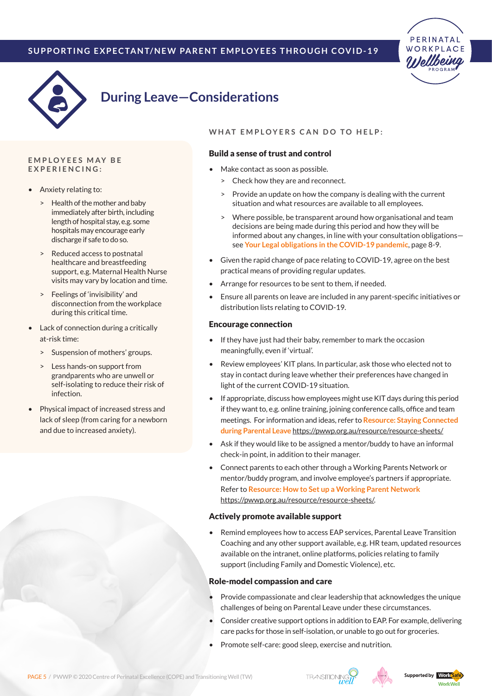



# **During Leave—Considerations**

#### **E m p l o y ees m a y b e**  $EXPERIENCING:$

- Anxiety relating to:
	- > Health of the mother and baby immediately after birth, including length of hospital stay, e.g. some hospitals may encourage early discharge if safe to do so.
	- Reduced access to postnatal healthcare and breastfeeding support, e.g. Maternal Health Nurse visits may vary by location and time.
	- > Feelings of 'invisibility' and disconnection from the workplace during this critical time.
- Lack of connection during a critically at-risk time:
	- > Suspension of mothers' groups.
	- Less hands-on support from grandparents who are unwell or self-isolating to reduce their risk of infection.
- Physical impact of increased stress and lack of sleep (from caring for a newborn and due to increased anxiety).

#### **WHAT EMPLOYERS CAN DO TO HELP:**

#### Build a sense of trust and control

- Make contact as soon as possible.
	- > Check how they are and reconnect.
	- Provide an update on how the company is dealing with the current situation and what resources are available to all employees.
	- > Where possible, be transparent around how organisational and team decisions are being made during this period and how they will be informed about any changes, in line with your consultation obligations see **Your Legal obligations in the COVID-19 pandemic**, page 8-9.
- Given the rapid change of pace relating to COVID-19, agree on the best practical means of providing regular updates.
- Arrange for resources to be sent to them, if needed.
- Ensure all parents on leave are included in any parent-specific initiatives or distribution lists relating to COVID-19.

#### Encourage connection

- If they have just had their baby, remember to mark the occasion meaningfully, even if 'virtual'.
- Review employees' KIT plans. In particular, ask those who elected not to stay in contact during leave whether their preferences have changed in light of the current COVID-19 situation.
- If appropriate, discuss how employees might use KIT days during this period if they want to, e.g. online training, joining conference calls, office and team meetings. For information and ideas, refer to **Resource: Staying Connected during Parental Leave** <https://pwwp.org.au/resource/resource-sheets/>
- Ask if they would like to be assigned a mentor/buddy to have an informal check-in point, in addition to their manager.
- Connect parents to each other through a Working Parents Network or mentor/buddy program, and involve employee's partners if appropriate. Refer to **Resource: How to Set up a Working Parent Network** [https://pwwp.org.au/resource/resource-sheets/.](https://pwwp.org.au/resource/resource-sheets/)

#### Actively promote available support

Remind employees how to access EAP services, Parental Leave Transition Coaching and any other support available, e.g. HR team, updated resources available on the intranet, online platforms, policies relating to family support (including Family and Domestic Violence), etc.

#### Role-model compassion and care

- Provide compassionate and clear leadership that acknowledges the unique challenges of being on Parental Leave under these circumstances.
- Consider creative support options in addition to EAP. For example, delivering care packs for those in self-isolation, or unable to go out for groceries.
- Promote self-care: good sleep, exercise and nutrition.



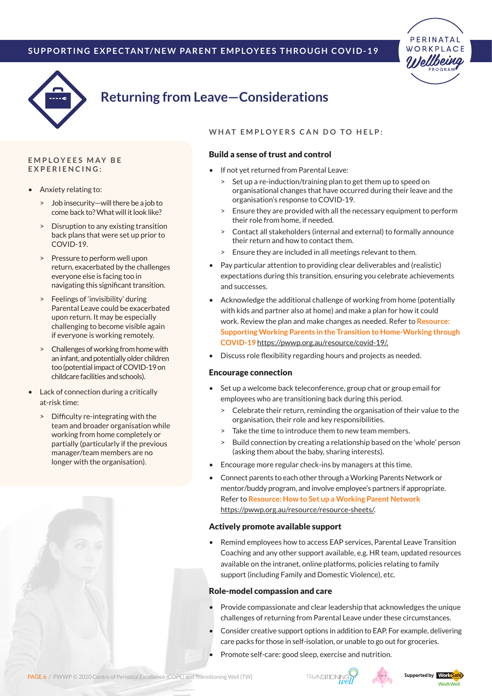



# **Returning from Leave—Considerations**

#### **E m p l o y ees m a y b e**  $EXPERIENCING:$

- Anxiety relating to:
	- > Job insecurity—will there be a job to come back to? What will it look like?
	- > Disruption to any existing transition back plans that were set up prior to COVID-19.
	- > Pressure to perform well upon return, exacerbated by the challenges everyone else is facing too in navigating this significant transition.
	- Feelings of 'invisibility' during Parental Leave could be exacerbated upon return. It may be especially challenging to become visible again if everyone is working remotely.
	- > Challenges of working from home with an infant, and potentially older children too (potential impact of COVID-19 on childcare facilities and schools).
- **Lack of connection during a critically** at-risk time:
	- > Difficulty re-integrating with the team and broader organisation while working from home completely or partially (particularly if the previous manager/team members are no longer with the organisation).



#### **WHAT EMPLOYERS CAN DO TO HELP:**

#### Build a sense of trust and control

- If not yet returned from Parental Leave:
	- > Set up a re-induction/training plan to get them up to speed on organisational changes that have occurred during their leave and the organisation's response to COVID-19.
	- Ensure they are provided with all the necessary equipment to perform their role from home, if needed.
	- > Contact all stakeholders (internal and external) to formally announce their return and how to contact them.
	- > Ensure they are included in all meetings relevant to them.
- • Pay particular attention to providing clear deliverables and (realistic) expectations during this transition, ensuring you celebrate achievements and successes.
- Acknowledge the additional challenge of working from home (potentially with kids and partner also at home) and make a plan for how it could work. Review the plan and make changes as needed. Refer to **Resource: Supporting Working Parents in the Transition to Home-Working through COVID-19** [https://pwwp.org.au/resource/covid-19/.](https://pwwp.org.au/resource/covid-19/)
- • Discuss role flexibility regarding hours and projects as needed.

#### Encourage connection

- Set up a welcome back teleconference, group chat or group email for employees who are transitioning back during this period.
	- > Celebrate their return, reminding the organisation of their value to the organisation, their role and key responsibilities.
	- Take the time to introduce them to new team members.
	- > Build connection by creating a relationship based on the 'whole' person (asking them about the baby, sharing interests).
- Encourage more regular check-ins by managers at this time.
- Connect parents to each other through a Working Parents Network or mentor/buddy program, and involve employee's partners if appropriate. Refer to **Resource: How to Set up a Working Parent Network**  [https://pwwp.org.au/resource/resource-sheets/.](https://pwwp.org.au/resource/resource-sheets/)

#### Actively promote available support

Remind employees how to access EAP services, Parental Leave Transition Coaching and any other support available, e.g. HR team, updated resources available on the intranet, online platforms, policies relating to family support (including Family and Domestic Violence), etc.

#### Role-model compassion and care

- Provide compassionate and clear leadership that acknowledges the unique challenges of returning from Parental Leave under these circumstances.
- Consider creative support options in addition to EAP. For example, delivering care packs for those in self-isolation, or unable to go out for groceries.
- Promote self-care: good sleep, exercise and nutrition.





WorkWell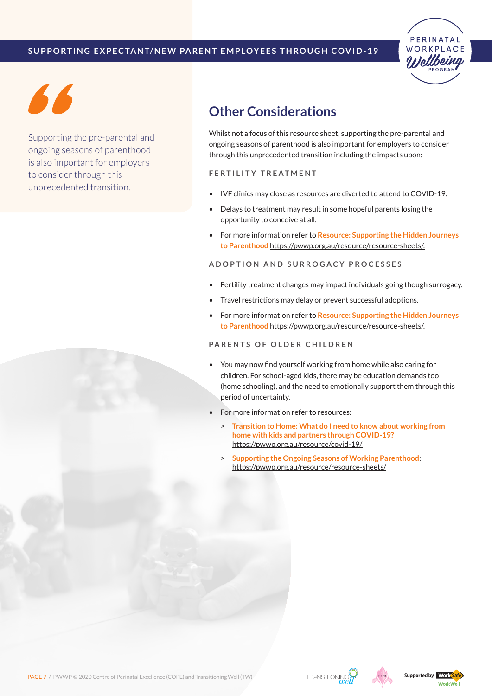



Supporting the pre-parental and ongoing seasons of parenthood is also important for employers to consider through this unprecedented transition.

# **Other Considerations**

Whilst not a focus of this resource sheet, supporting the pre-parental and ongoing seasons of parenthood is also important for employers to consider through this unprecedented transition including the impacts upon:

#### **F e r t i l i t y t r e a t m e n t**

- IVF clinics may close as resources are diverted to attend to COVID-19.
- Delays to treatment may result in some hopeful parents losing the opportunity to conceive at all.
- • For more information refer to **Resource: Supporting the Hidden Journeys to Parenthood** <https://pwwp.org.au/resource/resource-sheets/>.

#### **Ad o p t i o n a n d s u r r o g a c y p r o c esses**

- Fertility treatment changes may impact individuals going though surrogacy.
- Travel restrictions may delay or prevent successful adoptions.
- For more information refer to **Resource: Supporting the Hidden Journeys to Parenthood** <https://pwwp.org.au/resource/resource-sheets/>.

### **PARENTS OF OLDER CHILDREN**

- You may now find yourself working from home while also caring for children. For school-aged kids, there may be education demands too (home schooling), and the need to emotionally support them through this period of uncertainty.
- For more information refer to resources:
	- > **Transition to Home: What do I need to know about working from home with kids and partners through COVID-19?** <https://pwwp.org.au/resource/covid-19/>
	- > **Supporting the Ongoing Seasons of Working Parenthood**: <https://pwwp.org.au/resource/resource-sheets/>





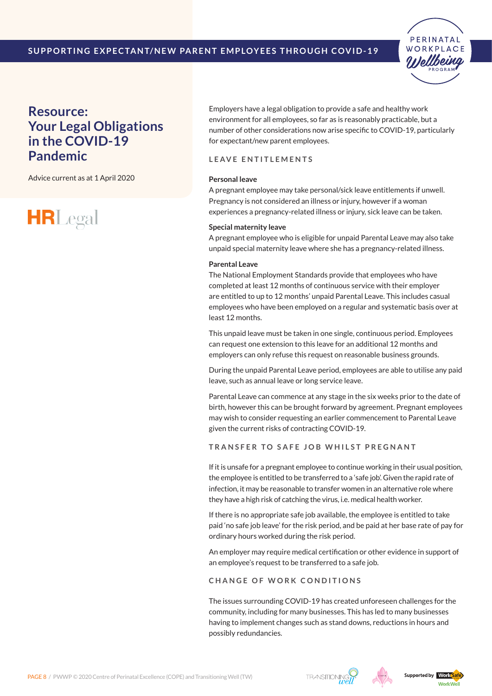

### **Resource: Your Legal Obligations in the COVID-19 Pandemic**

Advice current as at 1 April 2020



Employers have a legal obligation to provide a safe and healthy work environment for all employees, so far as is reasonably practicable, but a number of other considerations now arise specific to COVID-19, particularly for expectant/new parent employees.

#### **Le ave e n t i t l e m e n t s**

#### **Personal leave**

A pregnant employee may take personal/sick leave entitlements if unwell. Pregnancy is not considered an illness or injury, however if a woman experiences a pregnancy-related illness or injury, sick leave can be taken.

#### **Special maternity leave**

A pregnant employee who is eligible for unpaid Parental Leave may also take unpaid special maternity leave where she has a pregnancy-related illness.

#### **Parental Leave**

The National Employment Standards provide that employees who have completed at least 12 months of continuous service with their employer are entitled to up to 12 months' unpaid Parental Leave. This includes casual employees who have been employed on a regular and systematic basis over at least 12 months.

This unpaid leave must be taken in one single, continuous period. Employees can request one extension to this leave for an additional 12 months and employers can only refuse this request on reasonable business grounds.

During the unpaid Parental Leave period, employees are able to utilise any paid leave, such as annual leave or long service leave.

Parental Leave can commence at any stage in the six weeks prior to the date of birth, however this can be brought forward by agreement. Pregnant employees may wish to consider requesting an earlier commencement to Parental Leave given the current risks of contracting COVID-19.

**T r a n sfe r t o s a fe j o b w h i l s t p r e g n a n t**

If it is unsafe for a pregnant employee to continue working in their usual position, the employee is entitled to be transferred to a 'safe job'. Given the rapid rate of infection, it may be reasonable to transfer women in an alternative role where they have a high risk of catching the virus, i.e. medical health worker.

If there is no appropriate safe job available, the employee is entitled to take paid 'no safe job leave' for the risk period, and be paid at her base rate of pay for ordinary hours worked during the risk period.

An employer may require medical certification or other evidence in support of an employee's request to be transferred to a safe job.

#### **CHANGE OF WORK CONDITIONS**

The issues surrounding COVID-19 has created unforeseen challenges for the community, including for many businesses. This has led to many businesses having to implement changes such as stand downs, reductions in hours and possibly redundancies.



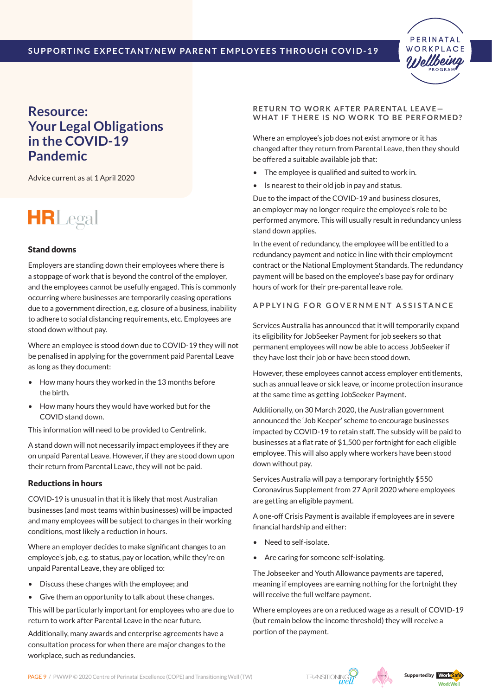

### **Resource: Your Legal Obligations in the COVID-19 Pandemic**

Advice current as at 1 April 2020

# **HRLegal**

#### Stand downs

Employers are standing down their employees where there is a stoppage of work that is beyond the control of the employer, and the employees cannot be usefully engaged. This is commonly occurring where businesses are temporarily ceasing operations due to a government direction, e.g. closure of a business, inability to adhere to social distancing requirements, etc. Employees are stood down without pay.

Where an employee is stood down due to COVID-19 they will not be penalised in applying for the government paid Parental Leave as long as they document:

- How many hours they worked in the 13 months before the birth.
- How many hours they would have worked but for the COVID stand down.

This information will need to be provided to Centrelink.

A stand down will not necessarily impact employees if they are on unpaid Parental Leave. However, if they are stood down upon their return from Parental Leave, they will not be paid.

#### Reductions in hours

COVID-19 is unusual in that it is likely that most Australian businesses (and most teams within businesses) will be impacted and many employees will be subject to changes in their working conditions, most likely a reduction in hours.

Where an employer decides to make significant changes to an employee's job, e.g. to status, pay or location, while they're on unpaid Parental Leave, they are obliged to:

- • Discuss these changes with the employee; and
- • Give them an opportunity to talk about these changes.

This will be particularly important for employees who are due to return to work after Parental Leave in the near future.

Additionally, many awards and enterprise agreements have a consultation process for when there are major changes to the workplace, such as redundancies.

#### **RETURN TO WORK AFTER PARENTAL LEAVE-**WHAT IF THERE IS NO WORK TO BE PERFORMED?

Where an employee's job does not exist anymore or it has changed after they return from Parental Leave, then they should be offered a suitable available job that:

- The employee is qualified and suited to work in.
- Is nearest to their old job in pay and status.

Due to the impact of the COVID-19 and business closures, an employer may no longer require the employee's role to be performed anymore. This will usually result in redundancy unless stand down applies.

In the event of redundancy, the employee will be entitled to a redundancy payment and notice in line with their employment contract or the National Employment Standards. The redundancy payment will be based on the employee's base pay for ordinary hours of work for their pre-parental leave role.

#### **A p p ly i n g f o r g o ve r n m e n t a ss i s t a n c e**

Services Australia has announced that it will temporarily expand its eligibility for JobSeeker Payment for job seekers so that permanent employees will now be able to access JobSeeker if they have lost their job or have been stood down.

However, these employees cannot access employer entitlements, such as annual leave or sick leave, or income protection insurance at the same time as getting JobSeeker Payment.

Additionally, on 30 March 2020, the Australian government announced the 'Job Keeper' scheme to encourage businesses impacted by COVID-19 to retain staff. The subsidy will be paid to businesses at a flat rate of \$1,500 per fortnight for each eligible employee. This will also apply where workers have been stood down without pay.

Services Australia will pay a temporary fortnightly \$550 Coronavirus Supplement from 27 April 2020 where employees are getting an eligible payment.

A one-off Crisis Payment is available if employees are in severe financial hardship and either:

- Need to self-isolate.
- Are caring for someone self-isolating.

The Jobseeker and Youth Allowance payments are tapered, meaning if employees are earning nothing for the fortnight they will receive the full welfare payment.

Where employees are on a reduced wage as a result of COVID-19 (but remain below the income threshold) they will receive a portion of the payment.

PAGE 9 / PWWP © 2020 Centre of Perinatal Excellence (COPE) and Transitioning Well (TW)